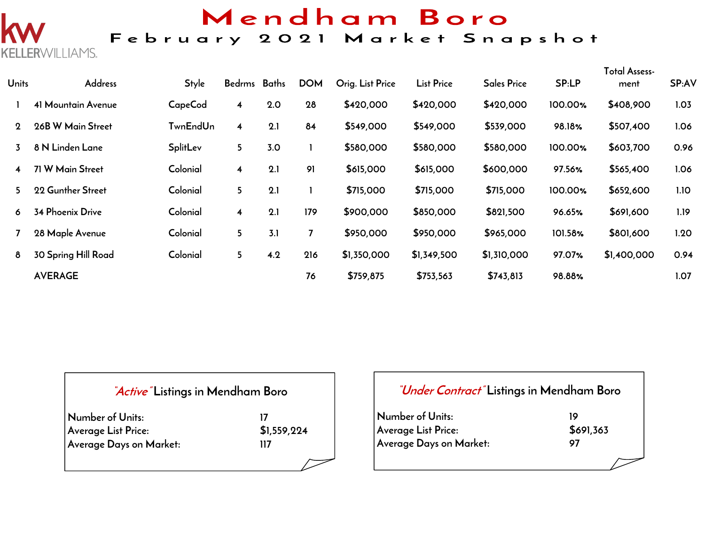## Mendham Boro

## February 2021 Market Snapshot

| Units       | Address                    | <b>Style</b>    | Bedrms Baths            |     | <b>DOM</b> | Orig. List Price | <b>List Price</b> | <b>Sales Price</b> | SP:LP   | <b>Total Assess-</b><br>ment | SP:AV |
|-------------|----------------------------|-----------------|-------------------------|-----|------------|------------------|-------------------|--------------------|---------|------------------------------|-------|
|             | 41 Mountain Avenue         | CapeCod         | $\overline{\mathbf{4}}$ | 2.0 | 28         | \$420,000        | \$420,000         | \$420,000          | 100.00% | \$408,900                    | 1.03  |
| $\mathbf 2$ | 26B W Main Street          | <b>TwnEndUn</b> | 4                       | 2.1 | 84         | \$549,000        | \$549,000         | \$539,000          | 98.18%  | \$507,400                    | 1.06  |
| 3           | 8 N Linden Lane            | SplitLev        | 5                       | 3.0 |            | \$580,000        | \$580,000         | \$580,000          | 100.00% | \$603,700                    | 0.96  |
| 4           | 71 W Main Street           | Colonial        | $\overline{\mathbf{4}}$ | 2.1 | 91         | \$615,000        | \$615,000         | \$600,000          | 97.56%  | \$565,400                    | 1.06  |
| 5.          | 22 Gunther Street          | Colonial        | 5 <sub>5</sub>          | 2.1 |            | \$715,000        | \$715,000         | \$715,000          | 100.00% | \$652,600                    | 1.10  |
| 6           | <b>34 Phoenix Drive</b>    | Colonial        | $\overline{\mathbf{4}}$ | 2.1 | 179        | \$900,000        | \$850,000         | \$821,500          | 96.65%  | \$691,600                    | 1.19  |
|             | 28 Maple Avenue            | Colonial        | 5                       | 3.1 |            | \$950,000        | \$950,000         | \$965,000          | 101.58% | \$801,600                    | 1.20  |
| 8           | <b>30 Spring Hill Road</b> | Colonial        | 5                       | 4.2 | 216        | \$1,350,000      | \$1,349,500       | \$1,310,000        | 97.07%  | \$1,400,000                  | 0.94  |
|             | <b>AVERAGE</b>             |                 |                         |     | 76         | \$759,875        | \$753,563         | \$743,813          | 98.88%  |                              | 1.07  |

#### **"Active" Listings in Mendham Boro**

ERWILLIAMS.

| Number of Units:        |             |
|-------------------------|-------------|
| Average List Price:     | \$1,559,224 |
| Average Days on Market: | 117         |

#### **"Under Contract" Listings in Mendham Boro**

**Number of Units:** 19<br>Average List Price: \$691,363 **Average List Price: Average Days on Market: 97**